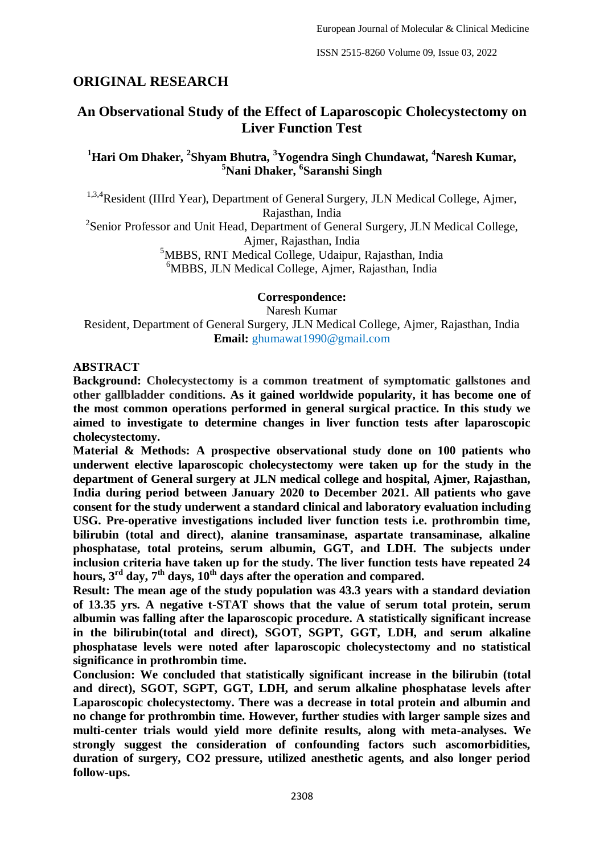ISSN 2515-8260 Volume 09, Issue 03, 2022

# **ORIGINAL RESEARCH**

# **An Observational Study of the Effect of Laparoscopic Cholecystectomy on Liver Function Test**

# **<sup>1</sup>Hari Om Dhaker, <sup>2</sup> Shyam Bhutra, <sup>3</sup>Yogendra Singh Chundawat, <sup>4</sup>Naresh Kumar, <sup>5</sup>Nani Dhaker, <sup>6</sup> Saranshi Singh**

<sup>1,3,4</sup>Resident (IIIrd Year), Department of General Surgery, JLN Medical College, Ajmer, Rajasthan, India

<sup>2</sup>Senior Professor and Unit Head, Department of General Surgery, JLN Medical College, Ajmer, Rajasthan, India

> <sup>5</sup>MBBS, RNT Medical College, Udaipur, Rajasthan, India <sup>6</sup>MBBS, JLN Medical College, Ajmer, Rajasthan, India

> > **Correspondence:**

Naresh Kumar Resident, Department of General Surgery, JLN Medical College, Ajmer, Rajasthan, India **Email:** ghumawat1990@gmail.com

### **ABSTRACT**

**Background: Cholecystectomy is a common treatment of symptomatic gallstones and other gallbladder conditions. As it gained worldwide popularity, it has become one of the most common operations performed in general surgical practice. In this study we aimed to investigate to determine changes in liver function tests after laparoscopic cholecystectomy.**

**Material & Methods: A prospective observational study done on 100 patients who underwent elective laparoscopic cholecystectomy were taken up for the study in the department of General surgery at JLN medical college and hospital, Ajmer, Rajasthan, India during period between January 2020 to December 2021. All patients who gave consent for the study underwent a standard clinical and laboratory evaluation including USG. Pre-operative investigations included liver function tests i.e. prothrombin time, bilirubin (total and direct), alanine transaminase, aspartate transaminase, alkaline phosphatase, total proteins, serum albumin, GGT, and LDH. The subjects under inclusion criteria have taken up for the study. The liver function tests have repeated 24 hours, 3rd day, 7th days, 10th days after the operation and compared.**

**Result: The mean age of the study population was 43.3 years with a standard deviation of 13.35 yrs. A negative t-STAT shows that the value of serum total protein, serum albumin was falling after the laparoscopic procedure. A statistically significant increase in the bilirubin(total and direct), SGOT, SGPT, GGT, LDH, and serum alkaline phosphatase levels were noted after laparoscopic cholecystectomy and no statistical significance in prothrombin time.** 

**Conclusion: We concluded that statistically significant increase in the bilirubin (total and direct), SGOT, SGPT, GGT, LDH, and serum alkaline phosphatase levels after Laparoscopic cholecystectomy. There was a decrease in total protein and albumin and no change for prothrombin time. However, further studies with larger sample sizes and multi-center trials would yield more definite results, along with meta-analyses. We strongly suggest the consideration of confounding factors such ascomorbidities, duration of surgery, CO2 pressure, utilized anesthetic agents, and also longer period follow-ups.**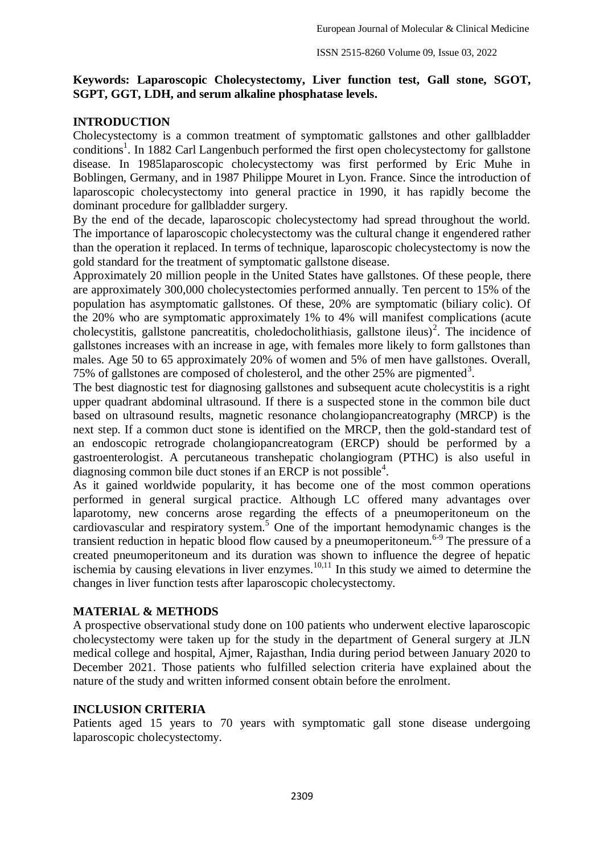### **Keywords: Laparoscopic Cholecystectomy, Liver function test, Gall stone, SGOT, SGPT, GGT, LDH, and serum alkaline phosphatase levels.**

# **INTRODUCTION**

Cholecystectomy is a common treatment of symptomatic gallstones and other gallbladder conditions<sup>1</sup>. In 1882 Carl Langenbuch performed the first open cholecystectomy for gallstone disease. In 1985laparoscopic cholecystectomy was first performed by Eric Muhe in Boblingen, Germany, and in 1987 Philippe Mouret in Lyon. France. Since the introduction of laparoscopic cholecystectomy into general practice in 1990, it has rapidly become the dominant procedure for gallbladder surgery.

By the end of the decade, laparoscopic cholecystectomy had spread throughout the world. The importance of laparoscopic cholecystectomy was the cultural change it engendered rather than the operation it replaced. In terms of technique, laparoscopic cholecystectomy is now the gold standard for the treatment of symptomatic gallstone disease.

Approximately 20 million people in the United States have gallstones. Of these people, there are approximately 300,000 cholecystectomies performed annually. Ten percent to 15% of the population has asymptomatic gallstones. Of these, 20% are symptomatic (biliary colic). Of the 20% who are symptomatic approximately 1% to 4% will manifest complications (acute cholecystitis, gallstone pancreatitis, choledocholithiasis, gallstone ileus)<sup>2</sup>. The incidence of gallstones increases with an increase in age, with females more likely to form gallstones than males. Age 50 to 65 approximately 20% of women and 5% of men have gallstones. Overall, 75% of gallstones are composed of cholesterol, and the other 25% are pigmented<sup>3</sup>.

The best diagnostic test for diagnosing gallstones and subsequent acute cholecystitis is a right upper quadrant abdominal ultrasound. If there is a suspected stone in the common bile duct based on ultrasound results, magnetic resonance cholangiopancreatography (MRCP) is the next step. If a common duct stone is identified on the MRCP, then the gold-standard test of an endoscopic retrograde cholangiopancreatogram (ERCP) should be performed by a gastroenterologist. A percutaneous transhepatic cholangiogram (PTHC) is also useful in diagnosing common bile duct stones if an ERCP is not possible<sup>4</sup>.

As it gained worldwide popularity, it has become one of the most common operations performed in general surgical practice. Although LC offered many advantages over laparotomy, new concerns arose regarding the effects of a pneumoperitoneum on the cardiovascular and respiratory system. <sup>5</sup> One of the important hemodynamic changes is the transient reduction in hepatic blood flow caused by a pneumoperitoneum.<sup>6-9</sup> The pressure of a created pneumoperitoneum and its duration was shown to influence the degree of hepatic ischemia by causing elevations in liver enzymes.<sup>10,11</sup> In this study we aimed to determine the changes in liver function tests after laparoscopic cholecystectomy.

# **MATERIAL & METHODS**

A prospective observational study done on 100 patients who underwent elective laparoscopic cholecystectomy were taken up for the study in the department of General surgery at JLN medical college and hospital, Ajmer, Rajasthan, India during period between January 2020 to December 2021. Those patients who fulfilled selection criteria have explained about the nature of the study and written informed consent obtain before the enrolment.

# **INCLUSION CRITERIA**

Patients aged 15 years to 70 years with symptomatic gall stone disease undergoing laparoscopic cholecystectomy.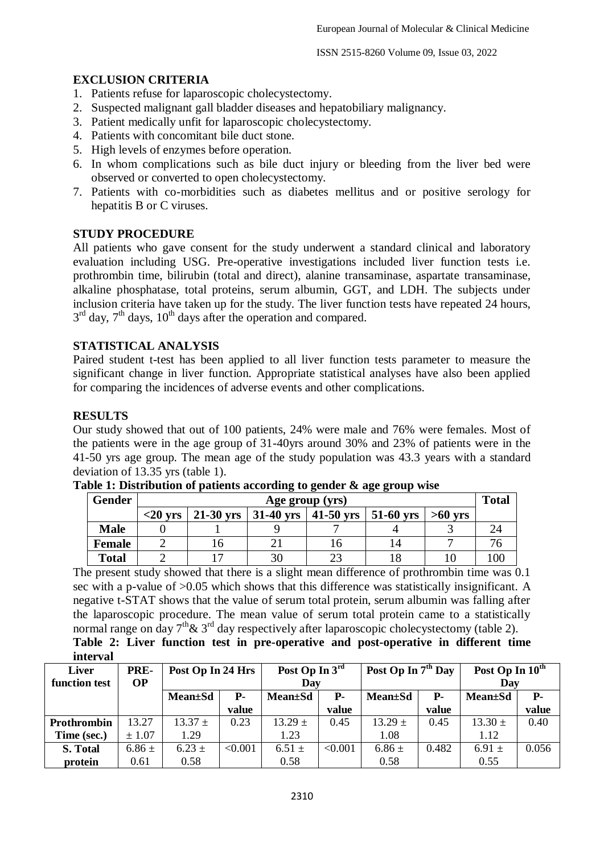ISSN 2515-8260 Volume 09, Issue 03, 2022

# **EXCLUSION CRITERIA**

- 1. Patients refuse for laparoscopic cholecystectomy.
- 2. Suspected malignant gall bladder diseases and hepatobiliary malignancy.
- 3. Patient medically unfit for laparoscopic cholecystectomy.
- 4. Patients with concomitant bile duct stone.
- 5. High levels of enzymes before operation.
- 6. In whom complications such as bile duct injury or bleeding from the liver bed were observed or converted to open cholecystectomy.
- 7. Patients with co-morbidities such as diabetes mellitus and or positive serology for hepatitis B or C viruses.

# **STUDY PROCEDURE**

All patients who gave consent for the study underwent a standard clinical and laboratory evaluation including USG. Pre-operative investigations included liver function tests i.e. prothrombin time, bilirubin (total and direct), alanine transaminase, aspartate transaminase, alkaline phosphatase, total proteins, serum albumin, GGT, and LDH. The subjects under inclusion criteria have taken up for the study. The liver function tests have repeated 24 hours,  $3<sup>rd</sup>$  day,  $7<sup>th</sup>$  days,  $10<sup>th</sup>$  days after the operation and compared.

### **STATISTICAL ANALYSIS**

Paired student t-test has been applied to all liver function tests parameter to measure the significant change in liver function. Appropriate statistical analyses have also been applied for comparing the incidences of adverse events and other complications.

### **RESULTS**

Our study showed that out of 100 patients, 24% were male and 76% were females. Most of the patients were in the age group of 31-40yrs around 30% and 23% of patients were in the 41-50 yrs age group. The mean age of the study population was 43.3 years with a standard deviation of 13.35 yrs (table 1).

| Gender        | Age group (yrs)   |  |                                               |     |    |           |  |  |
|---------------|-------------------|--|-----------------------------------------------|-----|----|-----------|--|--|
|               | $<$ 20 $\rm{vrs}$ |  | 21-30 yrs   31-40 yrs   41-50 yrs   51-60 yrs |     |    | $>60$ vrs |  |  |
| <b>Male</b>   |                   |  |                                               |     |    |           |  |  |
| <b>Female</b> |                   |  |                                               | L O | 14 |           |  |  |
| <b>Total</b>  |                   |  |                                               |     |    |           |  |  |

**Table 1: Distribution of patients according to gender & age group wise**

The present study showed that there is a slight mean difference of prothrombin time was 0.1 sec with a p-value of >0.05 which shows that this difference was statistically insignificant. A negative t-STAT shows that the value of serum total protein, serum albumin was falling after the laparoscopic procedure. The mean value of serum total protein came to a statistically normal range on day  $7<sup>th</sup> \& 3<sup>rd</sup>$  day respectively after laparoscopic cholecystectomy (table 2). **Table 2: Liver function test in pre-operative and post-operative in different time interval**

| Liver         | PRE-       | Post Op In 24 Hrs |         | Post Op In $3^{rd}$ |            | Post Op In 7 <sup>th</sup> Day |            | Post Op In $10^{\text{th}}$ |       |
|---------------|------------|-------------------|---------|---------------------|------------|--------------------------------|------------|-----------------------------|-------|
| function test | <b>OP</b>  |                   |         | Dav                 |            |                                |            | Dav                         |       |
|               |            | <b>Mean</b> ±Sd   | Р.      | <b>Mean</b> ±Sd     | <b>P</b> - | <b>Mean</b> ±Sd                | <b>P</b> - | <b>Mean</b> ±Sd             | Р.    |
|               |            |                   | value   |                     | value      |                                | value      |                             | value |
| Prothrombin   | 13.27      | $13.37 \pm$       | 0.23    | $13.29 \pm$         | 0.45       | $13.29 \pm$                    | 0.45       | $13.30 \pm$                 | 0.40  |
| Time (sec.)   | ± 1.07     | 1.29              |         | 1.23                |            | 1.08                           |            | 1.12                        |       |
| S. Total      | $6.86 \pm$ | $6.23 \pm$        | < 0.001 | $6.51 \pm$          | < 0.001    | $6.86 \pm$                     | 0.482      | 6.91 $\pm$                  | 0.056 |
| protein       | 0.61       | 0.58              |         | 0.58                |            | 0.58                           |            | 0.55                        |       |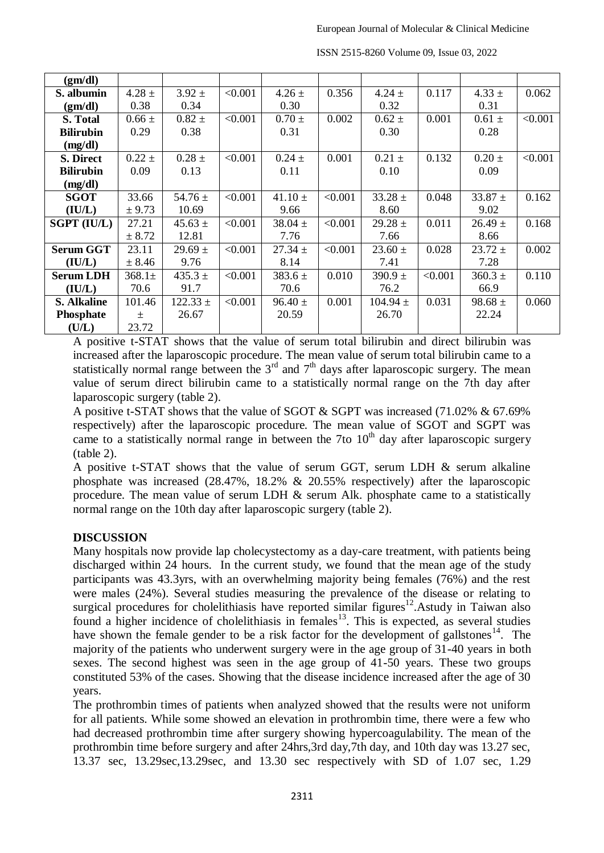| (gm/dl)            |             |              |         |             |         |              |         |             |         |
|--------------------|-------------|--------------|---------|-------------|---------|--------------|---------|-------------|---------|
| S. albumin         | $4.28 \pm$  | $3.92 \pm$   | < 0.001 | $4.26 \pm$  | 0.356   | $4.24 \pm$   | 0.117   | $4.33 \pm$  | 0.062   |
| (gm/dl)            | 0.38        | 0.34         |         | 0.30        |         | 0.32         |         | 0.31        |         |
| S. Total           | $0.66 \pm$  | $0.82 \pm$   | < 0.001 | $0.70 \pm$  | 0.002   | $0.62 \pm$   | 0.001   | $0.61 \pm$  | < 0.001 |
| <b>Bilirubin</b>   | 0.29        | 0.38         |         | 0.31        |         | 0.30         |         | 0.28        |         |
| (mg/dl)            |             |              |         |             |         |              |         |             |         |
| S. Direct          | $0.22 \pm$  | $0.28 \pm$   | < 0.001 | $0.24 \pm$  | 0.001   | $0.21 \pm$   | 0.132   | $0.20 \pm$  | < 0.001 |
| <b>Bilirubin</b>   | 0.09        | 0.13         |         | 0.11        |         | 0.10         |         | 0.09        |         |
| (mg/dl)            |             |              |         |             |         |              |         |             |         |
| <b>SGOT</b>        | 33.66       | 54.76 $\pm$  | < 0.001 | $41.10 \pm$ | < 0.001 | $33.28 \pm$  | 0.048   | $33.87 \pm$ | 0.162   |
| (IU/L)             | ± 9.73      | 10.69        |         | 9.66        |         | 8.60         |         | 9.02        |         |
| <b>SGPT (IU/L)</b> | 27.21       | $45.63 \pm$  | < 0.001 | $38.04 \pm$ | < 0.001 | $29.28 \pm$  | 0.011   | $26.49 \pm$ | 0.168   |
|                    | ± 8.72      | 12.81        |         | 7.76        |         | 7.66         |         | 8.66        |         |
| <b>Serum GGT</b>   | 23.11       | $29.69 \pm$  | < 0.001 | $27.34 \pm$ | < 0.001 | $23.60 \pm$  | 0.028   | $23.72 \pm$ | 0.002   |
| (IU/L)             | ± 8.46      | 9.76         |         | 8.14        |         | 7.41         |         | 7.28        |         |
| <b>Serum LDH</b>   | $368.1 \pm$ | $435.3 \pm$  | < 0.001 | $383.6 \pm$ | 0.010   | $390.9 \pm$  | < 0.001 | $360.3 \pm$ | 0.110   |
| (IU/L)             | 70.6        | 91.7         |         | 70.6        |         | 76.2         |         | 66.9        |         |
| <b>S. Alkaline</b> | 101.46      | $122.33 \pm$ | < 0.001 | $96.40 \pm$ | 0.001   | $104.94 \pm$ | 0.031   | $98.68 \pm$ | 0.060   |
| <b>Phosphate</b>   | $\pm$       | 26.67        |         | 20.59       |         | 26.70        |         | 22.24       |         |
| (U/L)              | 23.72       |              |         |             |         |              |         |             |         |

ISSN 2515-8260 Volume 09, Issue 03, 2022

A positive t-STAT shows that the value of serum total bilirubin and direct bilirubin was increased after the laparoscopic procedure. The mean value of serum total bilirubin came to a statistically normal range between the  $3<sup>rd</sup>$  and  $7<sup>th</sup>$  days after laparoscopic surgery. The mean value of serum direct bilirubin came to a statistically normal range on the 7th day after laparoscopic surgery (table 2).

A positive t-STAT shows that the value of SGOT & SGPT was increased (71.02% & 67.69% respectively) after the laparoscopic procedure. The mean value of SGOT and SGPT was came to a statistically normal range in between the 7to  $10<sup>th</sup>$  day after laparoscopic surgery (table 2).

A positive t-STAT shows that the value of serum GGT, serum LDH & serum alkaline phosphate was increased (28.47%, 18.2% & 20.55% respectively) after the laparoscopic procedure. The mean value of serum LDH & serum Alk. phosphate came to a statistically normal range on the 10th day after laparoscopic surgery (table 2).

# **DISCUSSION**

Many hospitals now provide lap cholecystectomy as a day-care treatment, with patients being discharged within 24 hours. In the current study, we found that the mean age of the study participants was 43.3yrs, with an overwhelming majority being females (76%) and the rest were males (24%). Several studies measuring the prevalence of the disease or relating to surgical procedures for cholelithiasis have reported similar figures<sup>12</sup>.Astudy in Taiwan also found a higher incidence of cholelithiasis in  $f$ emales<sup>13</sup>. This is expected, as several studies have shown the female gender to be a risk factor for the development of gallstones<sup>14</sup>. The majority of the patients who underwent surgery were in the age group of 31-40 years in both sexes. The second highest was seen in the age group of 41-50 years. These two groups constituted 53% of the cases. Showing that the disease incidence increased after the age of 30 years.

The prothrombin times of patients when analyzed showed that the results were not uniform for all patients. While some showed an elevation in prothrombin time, there were a few who had decreased prothrombin time after surgery showing hypercoagulability. The mean of the prothrombin time before surgery and after 24hrs,3rd day,7th day, and 10th day was 13.27 sec, 13.37 sec, 13.29sec,13.29sec, and 13.30 sec respectively with SD of 1.07 sec, 1.29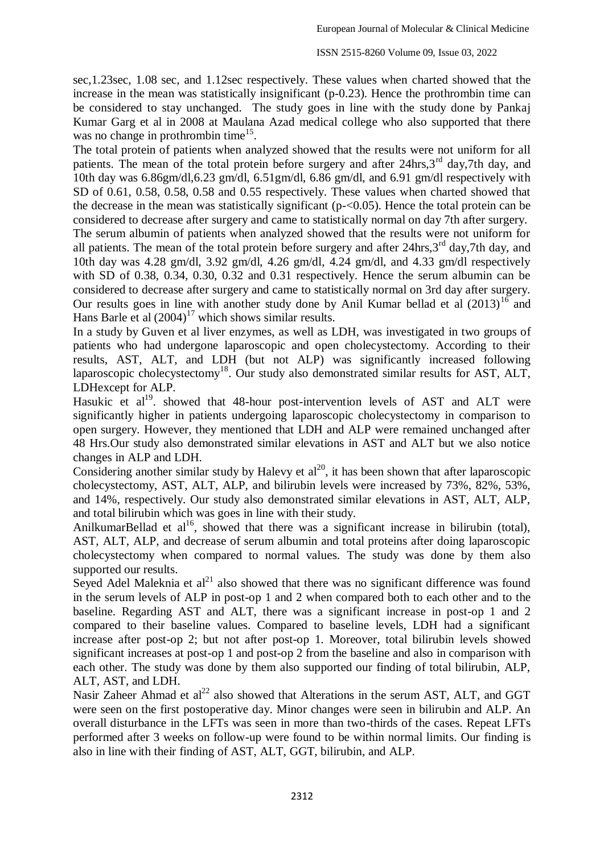sec,1.23sec, 1.08 sec, and 1.12sec respectively. These values when charted showed that the increase in the mean was statistically insignificant (p-0.23). Hence the prothrombin time can be considered to stay unchanged. The study goes in line with the study done by Pankaj Kumar Garg et al in 2008 at Maulana Azad medical college who also supported that there was no change in prothrombin time<sup>15</sup>.

The total protein of patients when analyzed showed that the results were not uniform for all patients. The mean of the total protein before surgery and after  $24$ hrs, $3<sup>rd</sup>$  day, $7$ th day, and 10th day was 6.86gm/dl,6.23 gm/dl, 6.51gm/dl, 6.86 gm/dl, and 6.91 gm/dl respectively with SD of 0.61, 0.58, 0.58, 0.58 and 0.55 respectively. These values when charted showed that the decrease in the mean was statistically significant (p-<0.05). Hence the total protein can be considered to decrease after surgery and came to statistically normal on day 7th after surgery.

The serum albumin of patients when analyzed showed that the results were not uniform for all patients. The mean of the total protein before surgery and after 24hrs, 3<sup>rd</sup> day, 7th day, and 10th day was 4.28 gm/dl, 3.92 gm/dl, 4.26 gm/dl, 4.24 gm/dl, and 4.33 gm/dl respectively with SD of 0.38, 0.34, 0.30, 0.32 and 0.31 respectively. Hence the serum albumin can be considered to decrease after surgery and came to statistically normal on 3rd day after surgery. Our results goes in line with another study done by Anil Kumar bellad et al  $(2013)^{16}$  and Hans Barle et al  $(2004)^{17}$  which shows similar results.

In a study by Guven et al liver enzymes, as well as LDH, was investigated in two groups of patients who had undergone laparoscopic and open cholecystectomy. According to their results, AST, ALT, and LDH (but not ALP) was significantly increased following laparoscopic cholecystectomy<sup>18</sup>. Our study also demonstrated similar results for AST, ALT, LDHexcept for ALP.

Hasukic et al<sup>19</sup>. showed that 48-hour post-intervention levels of AST and ALT were significantly higher in patients undergoing laparoscopic cholecystectomy in comparison to open surgery. However, they mentioned that LDH and ALP were remained unchanged after 48 Hrs.Our study also demonstrated similar elevations in AST and ALT but we also notice changes in ALP and LDH.

Considering another similar study by Halevy et  $al^{20}$ , it has been shown that after laparoscopic cholecystectomy, AST, ALT, ALP, and bilirubin levels were increased by 73%, 82%, 53%, and 14%, respectively. Our study also demonstrated similar elevations in AST, ALT, ALP, and total bilirubin which was goes in line with their study.

AnilkumarBellad et al<sup>16</sup>, showed that there was a significant increase in bilirubin (total), AST, ALT, ALP, and decrease of serum albumin and total proteins after doing laparoscopic cholecystectomy when compared to normal values. The study was done by them also supported our results.

Seyed Adel Maleknia et  $al^{21}$  also showed that there was no significant difference was found in the serum levels of ALP in post-op 1 and 2 when compared both to each other and to the baseline. Regarding AST and ALT, there was a significant increase in post-op 1 and 2 compared to their baseline values. Compared to baseline levels, LDH had a significant increase after post-op 2; but not after post-op 1. Moreover, total bilirubin levels showed significant increases at post-op 1 and post-op 2 from the baseline and also in comparison with each other. The study was done by them also supported our finding of total bilirubin, ALP, ALT, AST, and LDH.

Nasir Zaheer Ahmad et  $al^{22}$  also showed that Alterations in the serum AST, ALT, and GGT were seen on the first postoperative day. Minor changes were seen in bilirubin and ALP. An overall disturbance in the LFTs was seen in more than two-thirds of the cases. Repeat LFTs performed after 3 weeks on follow-up were found to be within normal limits. Our finding is also in line with their finding of AST, ALT, GGT, bilirubin, and ALP.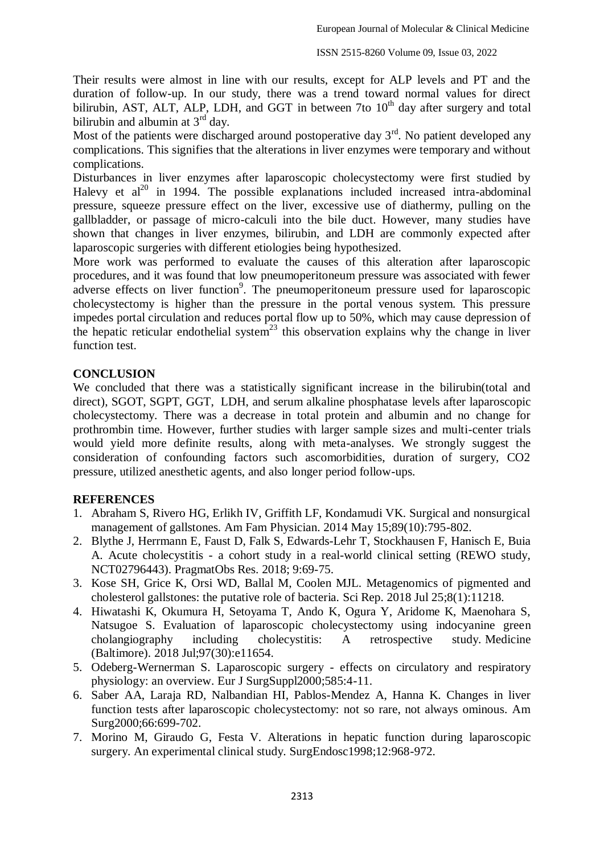Their results were almost in line with our results, except for ALP levels and PT and the duration of follow-up. In our study, there was a trend toward normal values for direct bilirubin, AST, ALT, ALP, LDH, and GGT in between 7to  $10<sup>th</sup>$  day after surgery and total bilirubin and albumin at  $3<sup>rd</sup>$  day.

Most of the patients were discharged around postoperative day  $3<sup>rd</sup>$ . No patient developed any complications. This signifies that the alterations in liver enzymes were temporary and without complications.

Disturbances in liver enzymes after laparoscopic cholecystectomy were first studied by Halevy et  $al^{20}$  in 1994. The possible explanations included increased intra-abdominal pressure, squeeze pressure effect on the liver, excessive use of diathermy, pulling on the gallbladder, or passage of micro-calculi into the bile duct. However, many studies have shown that changes in liver enzymes, bilirubin, and LDH are commonly expected after laparoscopic surgeries with different etiologies being hypothesized.

More work was performed to evaluate the causes of this alteration after laparoscopic procedures, and it was found that low pneumoperitoneum pressure was associated with fewer adverse effects on liver function<sup>9</sup>. The pneumoperitoneum pressure used for laparoscopic cholecystectomy is higher than the pressure in the portal venous system. This pressure impedes portal circulation and reduces portal flow up to 50%, which may cause depression of the hepatic reticular endothelial system<sup>23</sup> this observation explains why the change in liver function test.

### **CONCLUSION**

We concluded that there was a statistically significant increase in the bilirubin(total and direct), SGOT, SGPT, GGT, LDH, and serum alkaline phosphatase levels after laparoscopic cholecystectomy. There was a decrease in total protein and albumin and no change for prothrombin time. However, further studies with larger sample sizes and multi-center trials would yield more definite results, along with meta-analyses. We strongly suggest the consideration of confounding factors such ascomorbidities, duration of surgery, CO2 pressure, utilized anesthetic agents, and also longer period follow-ups.

# **REFERENCES**

- 1. Abraham S, Rivero HG, Erlikh IV, Griffith LF, Kondamudi VK. Surgical and nonsurgical management of gallstones. Am Fam Physician. 2014 May 15;89(10):795-802.
- 2. Blythe J, Herrmann E, Faust D, Falk S, Edwards-Lehr T, Stockhausen F, Hanisch E, Buia A. Acute cholecystitis - a cohort study in a real-world clinical setting (REWO study, NCT02796443). PragmatObs Res. 2018; 9:69-75.
- 3. Kose SH, Grice K, Orsi WD, Ballal M, Coolen MJL. Metagenomics of pigmented and cholesterol gallstones: the putative role of bacteria. Sci Rep. 2018 Jul 25;8(1):11218.
- 4. Hiwatashi K, Okumura H, Setoyama T, Ando K, Ogura Y, Aridome K, Maenohara S, Natsugoe S. Evaluation of laparoscopic cholecystectomy using indocyanine green cholangiography including cholecystitis: A retrospective study. Medicine (Baltimore). 2018 Jul;97(30):e11654.
- 5. Odeberg-Wernerman S. Laparoscopic surgery effects on circulatory and respiratory physiology: an overview. Eur J SurgSuppl2000;585:4-11.
- 6. Saber AA, Laraja RD, Nalbandian HI, Pablos-Mendez A, Hanna K. Changes in liver function tests after laparoscopic cholecystectomy: not so rare, not always ominous. Am Surg2000;66:699-702.
- 7. Morino M, Giraudo G, Festa V. Alterations in hepatic function during laparoscopic surgery. An experimental clinical study. SurgEndosc1998;12:968-972.